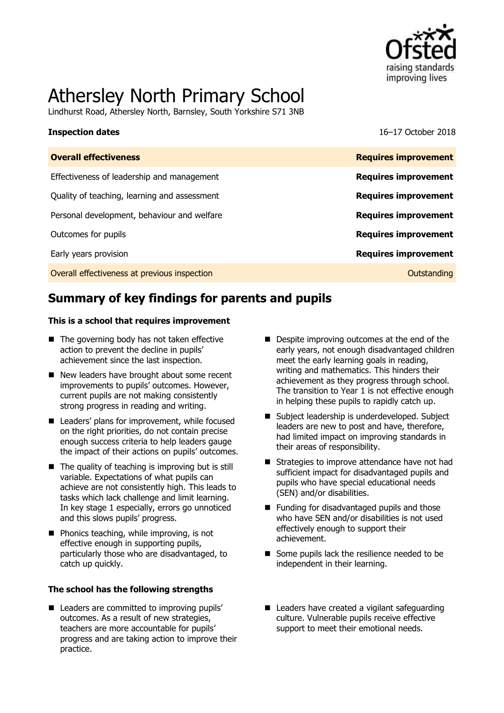

# Athersley North Primary School

Lindhurst Road, Athersley North, Barnsley, South Yorkshire S71 3NB

**Inspection dates** 16–17 October 2018

| <b>Overall effectiveness</b>                 | <b>Requires improvement</b> |
|----------------------------------------------|-----------------------------|
| Effectiveness of leadership and management   | <b>Requires improvement</b> |
| Quality of teaching, learning and assessment | <b>Requires improvement</b> |
| Personal development, behaviour and welfare  | <b>Requires improvement</b> |
| Outcomes for pupils                          | <b>Requires improvement</b> |
| Early years provision                        | <b>Requires improvement</b> |
| Overall effectiveness at previous inspection | Outstanding                 |
|                                              |                             |

# **Summary of key findings for parents and pupils**

#### **This is a school that requires improvement**

- The governing body has not taken effective action to prevent the decline in pupils' achievement since the last inspection.
- New leaders have brought about some recent improvements to pupils' outcomes. However, current pupils are not making consistently strong progress in reading and writing.
- Leaders' plans for improvement, while focused on the right priorities, do not contain precise enough success criteria to help leaders gauge the impact of their actions on pupils' outcomes.
- $\blacksquare$  The quality of teaching is improving but is still variable. Expectations of what pupils can achieve are not consistently high. This leads to tasks which lack challenge and limit learning. In key stage 1 especially, errors go unnoticed and this slows pupils' progress.
- $\blacksquare$  Phonics teaching, while improving, is not effective enough in supporting pupils, particularly those who are disadvantaged, to catch up quickly.

#### **The school has the following strengths**

■ Leaders are committed to improving pupils' outcomes. As a result of new strategies, teachers are more accountable for pupils' progress and are taking action to improve their practice.

- Despite improving outcomes at the end of the early years, not enough disadvantaged children meet the early learning goals in reading, writing and mathematics. This hinders their achievement as they progress through school. The transition to Year 1 is not effective enough in helping these pupils to rapidly catch up.
- Subject leadership is underdeveloped. Subject leaders are new to post and have, therefore, had limited impact on improving standards in their areas of responsibility.
- Strategies to improve attendance have not had sufficient impact for disadvantaged pupils and pupils who have special educational needs (SEN) and/or disabilities.
- Funding for disadvantaged pupils and those who have SEN and/or disabilities is not used effectively enough to support their achievement.
- Some pupils lack the resilience needed to be independent in their learning.
- Leaders have created a vigilant safeguarding culture. Vulnerable pupils receive effective support to meet their emotional needs.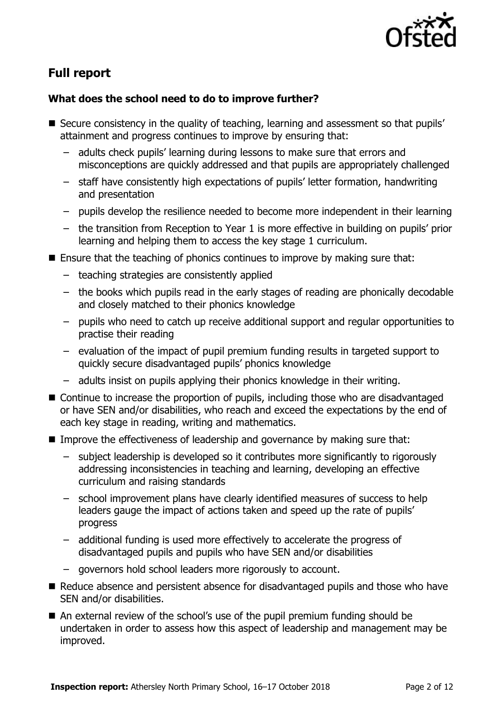

# **Full report**

### **What does the school need to do to improve further?**

- Secure consistency in the quality of teaching, learning and assessment so that pupils' attainment and progress continues to improve by ensuring that:
	- adults check pupils' learning during lessons to make sure that errors and misconceptions are quickly addressed and that pupils are appropriately challenged
	- staff have consistently high expectations of pupils' letter formation, handwriting and presentation
	- pupils develop the resilience needed to become more independent in their learning
	- the transition from Reception to Year 1 is more effective in building on pupils' prior learning and helping them to access the key stage 1 curriculum.
- Ensure that the teaching of phonics continues to improve by making sure that:
	- teaching strategies are consistently applied
	- the books which pupils read in the early stages of reading are phonically decodable and closely matched to their phonics knowledge
	- pupils who need to catch up receive additional support and regular opportunities to practise their reading
	- evaluation of the impact of pupil premium funding results in targeted support to quickly secure disadvantaged pupils' phonics knowledge
	- adults insist on pupils applying their phonics knowledge in their writing.
- Continue to increase the proportion of pupils, including those who are disadvantaged or have SEN and/or disabilities, who reach and exceed the expectations by the end of each key stage in reading, writing and mathematics.
- Improve the effectiveness of leadership and governance by making sure that:
	- subject leadership is developed so it contributes more significantly to rigorously addressing inconsistencies in teaching and learning, developing an effective curriculum and raising standards
	- school improvement plans have clearly identified measures of success to help leaders gauge the impact of actions taken and speed up the rate of pupils' progress
	- additional funding is used more effectively to accelerate the progress of disadvantaged pupils and pupils who have SEN and/or disabilities
	- governors hold school leaders more rigorously to account.
- Reduce absence and persistent absence for disadvantaged pupils and those who have SEN and/or disabilities.
- An external review of the school's use of the pupil premium funding should be undertaken in order to assess how this aspect of leadership and management may be improved.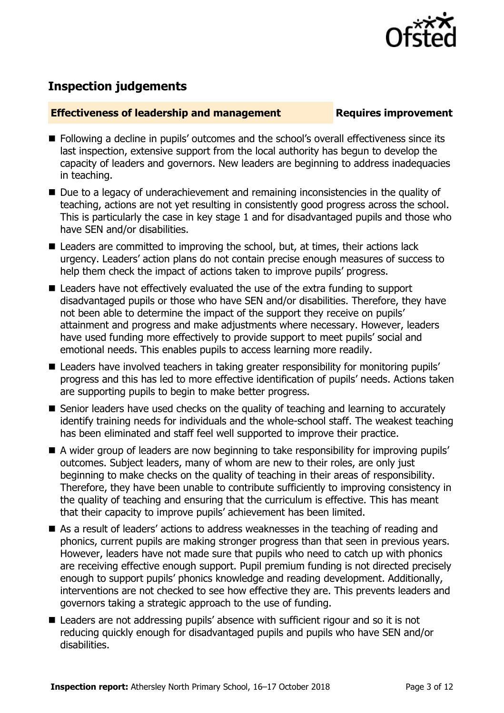

## **Inspection judgements**

#### **Effectiveness of leadership and management Requires improvement**

- **Following a decline in pupils' outcomes and the school's overall effectiveness since its** last inspection, extensive support from the local authority has begun to develop the capacity of leaders and governors. New leaders are beginning to address inadequacies in teaching.
- Due to a legacy of underachievement and remaining inconsistencies in the quality of teaching, actions are not yet resulting in consistently good progress across the school. This is particularly the case in key stage 1 and for disadvantaged pupils and those who have SEN and/or disabilities.
- Leaders are committed to improving the school, but, at times, their actions lack urgency. Leaders' action plans do not contain precise enough measures of success to help them check the impact of actions taken to improve pupils' progress.
- Leaders have not effectively evaluated the use of the extra funding to support disadvantaged pupils or those who have SEN and/or disabilities. Therefore, they have not been able to determine the impact of the support they receive on pupils' attainment and progress and make adjustments where necessary. However, leaders have used funding more effectively to provide support to meet pupils' social and emotional needs. This enables pupils to access learning more readily.
- Leaders have involved teachers in taking greater responsibility for monitoring pupils' progress and this has led to more effective identification of pupils' needs. Actions taken are supporting pupils to begin to make better progress.
- Senior leaders have used checks on the quality of teaching and learning to accurately identify training needs for individuals and the whole-school staff. The weakest teaching has been eliminated and staff feel well supported to improve their practice.
- A wider group of leaders are now beginning to take responsibility for improving pupils' outcomes. Subject leaders, many of whom are new to their roles, are only just beginning to make checks on the quality of teaching in their areas of responsibility. Therefore, they have been unable to contribute sufficiently to improving consistency in the quality of teaching and ensuring that the curriculum is effective. This has meant that their capacity to improve pupils' achievement has been limited.
- As a result of leaders' actions to address weaknesses in the teaching of reading and phonics, current pupils are making stronger progress than that seen in previous years. However, leaders have not made sure that pupils who need to catch up with phonics are receiving effective enough support. Pupil premium funding is not directed precisely enough to support pupils' phonics knowledge and reading development. Additionally, interventions are not checked to see how effective they are. This prevents leaders and governors taking a strategic approach to the use of funding.
- Leaders are not addressing pupils' absence with sufficient rigour and so it is not reducing quickly enough for disadvantaged pupils and pupils who have SEN and/or disabilities.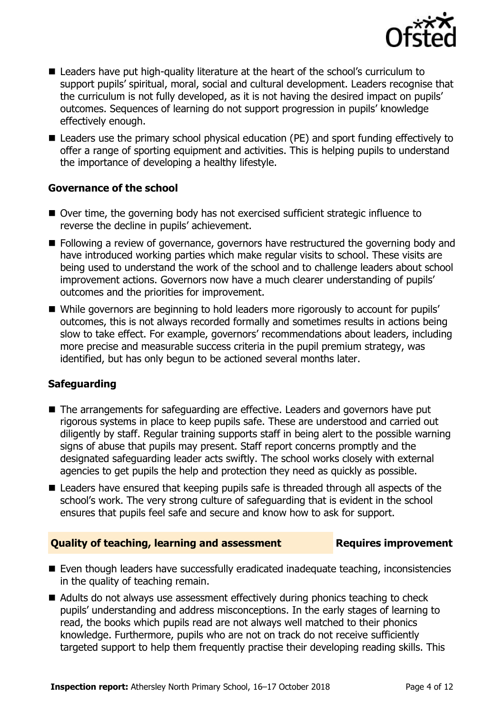

- Leaders have put high-quality literature at the heart of the school's curriculum to support pupils' spiritual, moral, social and cultural development. Leaders recognise that the curriculum is not fully developed, as it is not having the desired impact on pupils' outcomes. Sequences of learning do not support progression in pupils' knowledge effectively enough.
- Leaders use the primary school physical education (PE) and sport funding effectively to offer a range of sporting equipment and activities. This is helping pupils to understand the importance of developing a healthy lifestyle.

### **Governance of the school**

- Over time, the governing body has not exercised sufficient strategic influence to reverse the decline in pupils' achievement.
- Following a review of governance, governors have restructured the governing body and have introduced working parties which make regular visits to school. These visits are being used to understand the work of the school and to challenge leaders about school improvement actions. Governors now have a much clearer understanding of pupils' outcomes and the priorities for improvement.
- While governors are beginning to hold leaders more rigorously to account for pupils' outcomes, this is not always recorded formally and sometimes results in actions being slow to take effect. For example, governors' recommendations about leaders, including more precise and measurable success criteria in the pupil premium strategy, was identified, but has only begun to be actioned several months later.

### **Safeguarding**

- The arrangements for safeguarding are effective. Leaders and governors have put rigorous systems in place to keep pupils safe. These are understood and carried out diligently by staff. Regular training supports staff in being alert to the possible warning signs of abuse that pupils may present. Staff report concerns promptly and the designated safeguarding leader acts swiftly. The school works closely with external agencies to get pupils the help and protection they need as quickly as possible.
- Leaders have ensured that keeping pupils safe is threaded through all aspects of the school's work. The very strong culture of safeguarding that is evident in the school ensures that pupils feel safe and secure and know how to ask for support.

### **Quality of teaching, learning and assessment Requires improvement**

- Even though leaders have successfully eradicated inadequate teaching, inconsistencies in the quality of teaching remain.
- Adults do not always use assessment effectively during phonics teaching to check pupils' understanding and address misconceptions. In the early stages of learning to read, the books which pupils read are not always well matched to their phonics knowledge. Furthermore, pupils who are not on track do not receive sufficiently targeted support to help them frequently practise their developing reading skills. This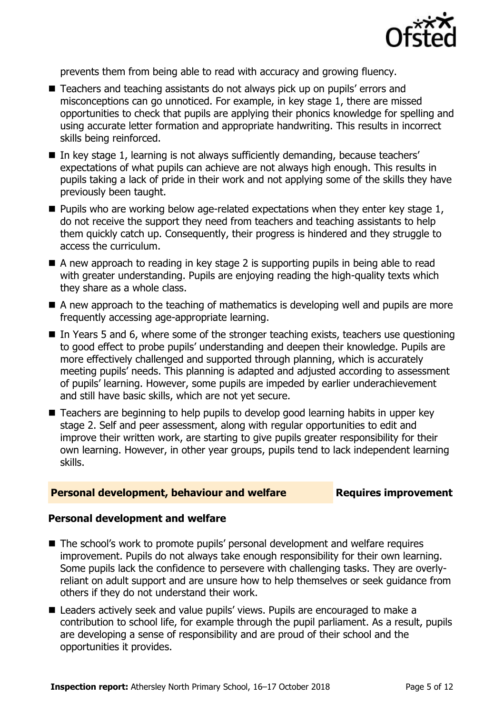

prevents them from being able to read with accuracy and growing fluency.

- Teachers and teaching assistants do not always pick up on pupils' errors and misconceptions can go unnoticed. For example, in key stage 1, there are missed opportunities to check that pupils are applying their phonics knowledge for spelling and using accurate letter formation and appropriate handwriting. This results in incorrect skills being reinforced.
- In key stage 1, learning is not always sufficiently demanding, because teachers' expectations of what pupils can achieve are not always high enough. This results in pupils taking a lack of pride in their work and not applying some of the skills they have previously been taught.
- $\blacksquare$  Pupils who are working below age-related expectations when they enter key stage 1, do not receive the support they need from teachers and teaching assistants to help them quickly catch up. Consequently, their progress is hindered and they struggle to access the curriculum.
- A new approach to reading in key stage 2 is supporting pupils in being able to read with greater understanding. Pupils are enjoying reading the high-quality texts which they share as a whole class.
- $\blacksquare$  A new approach to the teaching of mathematics is developing well and pupils are more frequently accessing age-appropriate learning.
- $\blacksquare$  In Years 5 and 6, where some of the stronger teaching exists, teachers use questioning to good effect to probe pupils' understanding and deepen their knowledge. Pupils are more effectively challenged and supported through planning, which is accurately meeting pupils' needs. This planning is adapted and adjusted according to assessment of pupils' learning. However, some pupils are impeded by earlier underachievement and still have basic skills, which are not yet secure.
- Teachers are beginning to help pupils to develop good learning habits in upper key stage 2. Self and peer assessment, along with regular opportunities to edit and improve their written work, are starting to give pupils greater responsibility for their own learning. However, in other year groups, pupils tend to lack independent learning skills.

#### **Personal development, behaviour and welfare <b>Requires improvement**

#### **Personal development and welfare**

- The school's work to promote pupils' personal development and welfare requires improvement. Pupils do not always take enough responsibility for their own learning. Some pupils lack the confidence to persevere with challenging tasks. They are overlyreliant on adult support and are unsure how to help themselves or seek guidance from others if they do not understand their work.
- Leaders actively seek and value pupils' views. Pupils are encouraged to make a contribution to school life, for example through the pupil parliament. As a result, pupils are developing a sense of responsibility and are proud of their school and the opportunities it provides.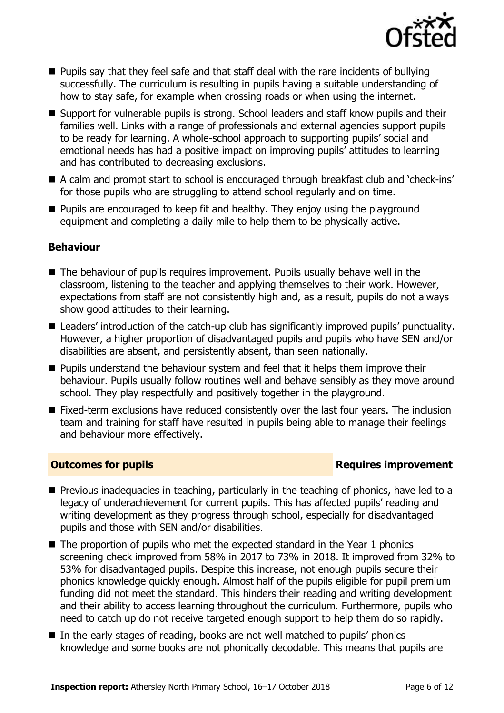

- $\blacksquare$  Pupils say that they feel safe and that staff deal with the rare incidents of bullying successfully. The curriculum is resulting in pupils having a suitable understanding of how to stay safe, for example when crossing roads or when using the internet.
- Support for vulnerable pupils is strong. School leaders and staff know pupils and their families well. Links with a range of professionals and external agencies support pupils to be ready for learning. A whole-school approach to supporting pupils' social and emotional needs has had a positive impact on improving pupils' attitudes to learning and has contributed to decreasing exclusions.
- A calm and prompt start to school is encouraged through breakfast club and 'check-ins' for those pupils who are struggling to attend school regularly and on time.
- **Pupils are encouraged to keep fit and healthy. They enjoy using the playground** equipment and completing a daily mile to help them to be physically active.

### **Behaviour**

- The behaviour of pupils requires improvement. Pupils usually behave well in the classroom, listening to the teacher and applying themselves to their work. However, expectations from staff are not consistently high and, as a result, pupils do not always show good attitudes to their learning.
- Leaders' introduction of the catch-up club has significantly improved pupils' punctuality. However, a higher proportion of disadvantaged pupils and pupils who have SEN and/or disabilities are absent, and persistently absent, than seen nationally.
- $\blacksquare$  Pupils understand the behaviour system and feel that it helps them improve their behaviour. Pupils usually follow routines well and behave sensibly as they move around school. They play respectfully and positively together in the playground.
- Fixed-term exclusions have reduced consistently over the last four years. The inclusion team and training for staff have resulted in pupils being able to manage their feelings and behaviour more effectively.

### **Outcomes for pupils Requires improvement**

- $\blacksquare$  Previous inadequacies in teaching, particularly in the teaching of phonics, have led to a legacy of underachievement for current pupils. This has affected pupils' reading and writing development as they progress through school, especially for disadvantaged pupils and those with SEN and/or disabilities.
- $\blacksquare$  The proportion of pupils who met the expected standard in the Year 1 phonics screening check improved from 58% in 2017 to 73% in 2018. It improved from 32% to 53% for disadvantaged pupils. Despite this increase, not enough pupils secure their phonics knowledge quickly enough. Almost half of the pupils eligible for pupil premium funding did not meet the standard. This hinders their reading and writing development and their ability to access learning throughout the curriculum. Furthermore, pupils who need to catch up do not receive targeted enough support to help them do so rapidly.
- In the early stages of reading, books are not well matched to pupils' phonics knowledge and some books are not phonically decodable. This means that pupils are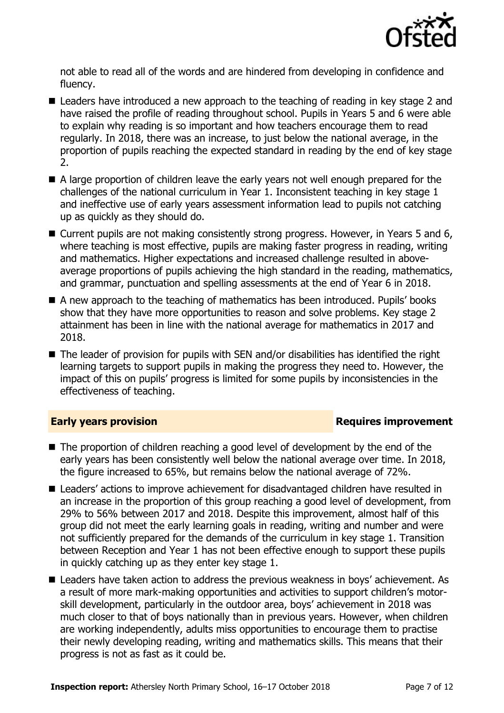

not able to read all of the words and are hindered from developing in confidence and fluency.

- Leaders have introduced a new approach to the teaching of reading in key stage 2 and have raised the profile of reading throughout school. Pupils in Years 5 and 6 were able to explain why reading is so important and how teachers encourage them to read regularly. In 2018, there was an increase, to just below the national average, in the proportion of pupils reaching the expected standard in reading by the end of key stage 2.
- A large proportion of children leave the early years not well enough prepared for the challenges of the national curriculum in Year 1. Inconsistent teaching in key stage 1 and ineffective use of early years assessment information lead to pupils not catching up as quickly as they should do.
- Current pupils are not making consistently strong progress. However, in Years 5 and 6, where teaching is most effective, pupils are making faster progress in reading, writing and mathematics. Higher expectations and increased challenge resulted in aboveaverage proportions of pupils achieving the high standard in the reading, mathematics, and grammar, punctuation and spelling assessments at the end of Year 6 in 2018.
- A new approach to the teaching of mathematics has been introduced. Pupils' books show that they have more opportunities to reason and solve problems. Key stage 2 attainment has been in line with the national average for mathematics in 2017 and 2018.
- The leader of provision for pupils with SEN and/or disabilities has identified the right learning targets to support pupils in making the progress they need to. However, the impact of this on pupils' progress is limited for some pupils by inconsistencies in the effectiveness of teaching.

### **Early years provision**

- The proportion of children reaching a good level of development by the end of the early years has been consistently well below the national average over time. In 2018, the figure increased to 65%, but remains below the national average of 72%.
- Leaders' actions to improve achievement for disadvantaged children have resulted in an increase in the proportion of this group reaching a good level of development, from 29% to 56% between 2017 and 2018. Despite this improvement, almost half of this group did not meet the early learning goals in reading, writing and number and were not sufficiently prepared for the demands of the curriculum in key stage 1. Transition between Reception and Year 1 has not been effective enough to support these pupils in quickly catching up as they enter key stage 1.
- Leaders have taken action to address the previous weakness in boys' achievement. As a result of more mark-making opportunities and activities to support children's motorskill development, particularly in the outdoor area, boys' achievement in 2018 was much closer to that of boys nationally than in previous years. However, when children are working independently, adults miss opportunities to encourage them to practise their newly developing reading, writing and mathematics skills. This means that their progress is not as fast as it could be.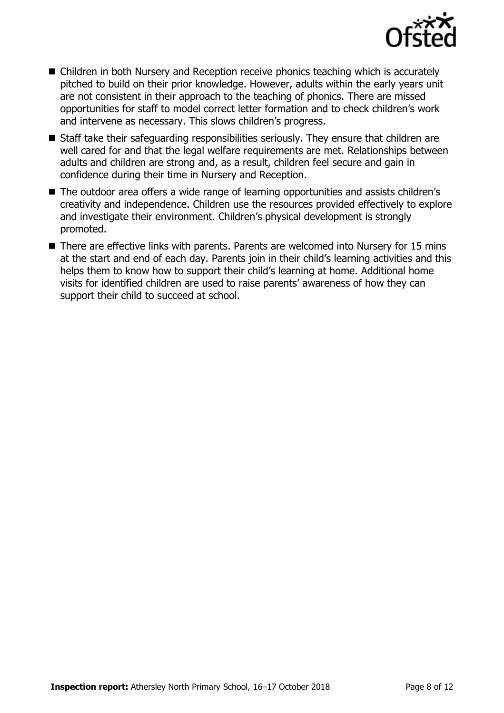

- Children in both Nursery and Reception receive phonics teaching which is accurately pitched to build on their prior knowledge. However, adults within the early years unit are not consistent in their approach to the teaching of phonics. There are missed opportunities for staff to model correct letter formation and to check children's work and intervene as necessary. This slows children's progress.
- Staff take their safeguarding responsibilities seriously. They ensure that children are well cared for and that the legal welfare requirements are met. Relationships between adults and children are strong and, as a result, children feel secure and gain in confidence during their time in Nursery and Reception.
- The outdoor area offers a wide range of learning opportunities and assists children's creativity and independence. Children use the resources provided effectively to explore and investigate their environment. Children's physical development is strongly promoted.
- There are effective links with parents. Parents are welcomed into Nursery for 15 mins at the start and end of each day. Parents join in their child's learning activities and this helps them to know how to support their child's learning at home. Additional home visits for identified children are used to raise parents' awareness of how they can support their child to succeed at school.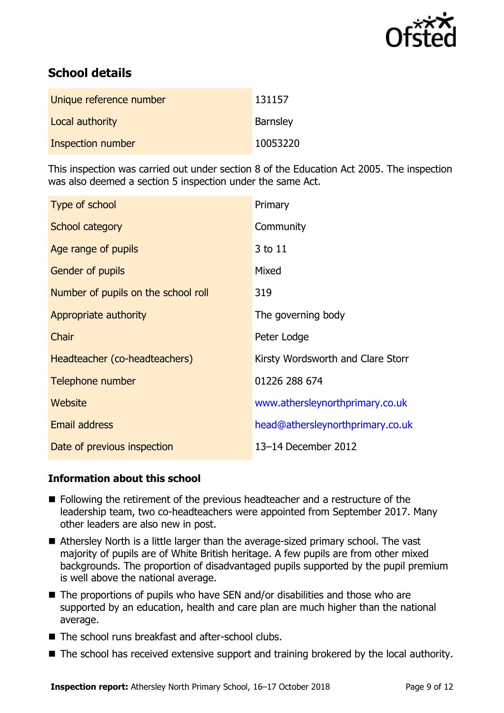

# **School details**

| Unique reference number | 131157          |
|-------------------------|-----------------|
| Local authority         | <b>Barnsley</b> |
| Inspection number       | 10053220        |

This inspection was carried out under section 8 of the Education Act 2005. The inspection was also deemed a section 5 inspection under the same Act.

| Type of school                      | Primary                           |
|-------------------------------------|-----------------------------------|
| School category                     | Community                         |
| Age range of pupils                 | 3 to 11                           |
| <b>Gender of pupils</b>             | Mixed                             |
| Number of pupils on the school roll | 319                               |
| Appropriate authority               | The governing body                |
| Chair                               | Peter Lodge                       |
| Headteacher (co-headteachers)       | Kirsty Wordsworth and Clare Storr |
| Telephone number                    | 01226 288 674                     |
| Website                             | www.athersleynorthprimary.co.uk   |
| Email address                       | head@athersleynorthprimary.co.uk  |
| Date of previous inspection         | 13-14 December 2012               |

### **Information about this school**

- Following the retirement of the previous headteacher and a restructure of the leadership team, two co-headteachers were appointed from September 2017. Many other leaders are also new in post.
- Athersley North is a little larger than the average-sized primary school. The vast majority of pupils are of White British heritage. A few pupils are from other mixed backgrounds. The proportion of disadvantaged pupils supported by the pupil premium is well above the national average.
- The proportions of pupils who have SEN and/or disabilities and those who are supported by an education, health and care plan are much higher than the national average.
- The school runs breakfast and after-school clubs.
- The school has received extensive support and training brokered by the local authority.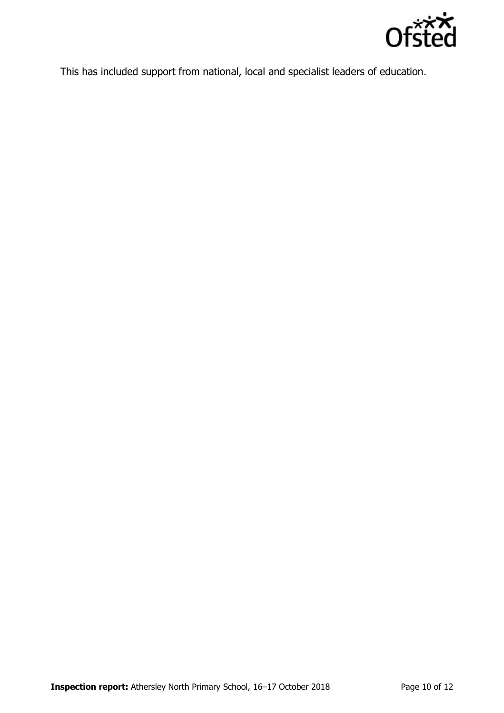

This has included support from national, local and specialist leaders of education.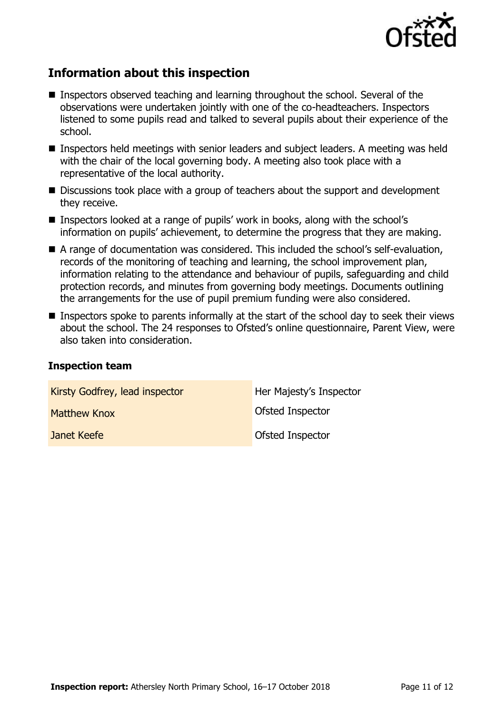

# **Information about this inspection**

- Inspectors observed teaching and learning throughout the school. Several of the observations were undertaken jointly with one of the co-headteachers. Inspectors listened to some pupils read and talked to several pupils about their experience of the school.
- Inspectors held meetings with senior leaders and subject leaders. A meeting was held with the chair of the local governing body. A meeting also took place with a representative of the local authority.
- Discussions took place with a group of teachers about the support and development they receive.
- Inspectors looked at a range of pupils' work in books, along with the school's information on pupils' achievement, to determine the progress that they are making.
- A range of documentation was considered. This included the school's self-evaluation, records of the monitoring of teaching and learning, the school improvement plan, information relating to the attendance and behaviour of pupils, safeguarding and child protection records, and minutes from governing body meetings. Documents outlining the arrangements for the use of pupil premium funding were also considered.
- Inspectors spoke to parents informally at the start of the school day to seek their views about the school. The 24 responses to Ofsted's online questionnaire, Parent View, were also taken into consideration.

#### **Inspection team**

| Kirsty Godfrey, lead inspector | Her Majesty's Inspector |
|--------------------------------|-------------------------|
| Matthew Knox                   | Ofsted Inspector        |
| Janet Keefe                    | <b>Ofsted Inspector</b> |